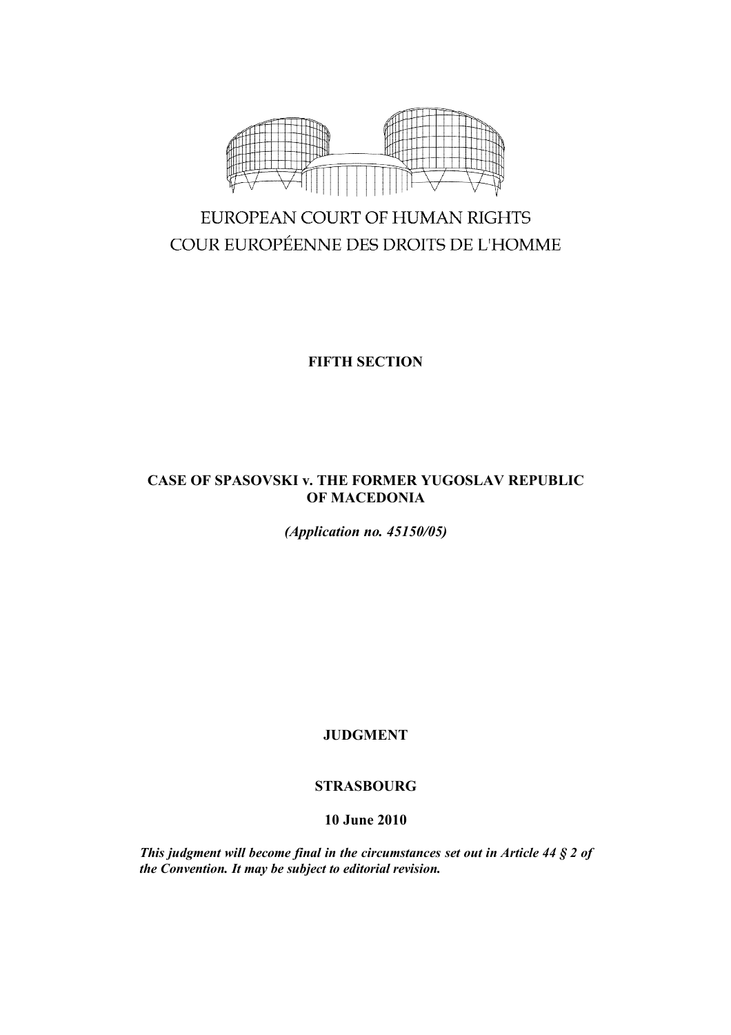

# EUROPEAN COURT OF HUMAN RIGHTS COUR EUROPÉENNE DES DROITS DE L'HOMME

# **FIFTH SECTION**

## **CASE OF SPASOVSKI v. THE FORMER YUGOSLAV REPUBLIC OF MACEDONIA**

*(Application no. 45150/05)*

**JUDGMENT**

# **STRASBOURG**

# **10 June 2010**

*This judgment will become final in the circumstances set out in Article 44 § 2 of the Convention. It may be subject to editorial revision.*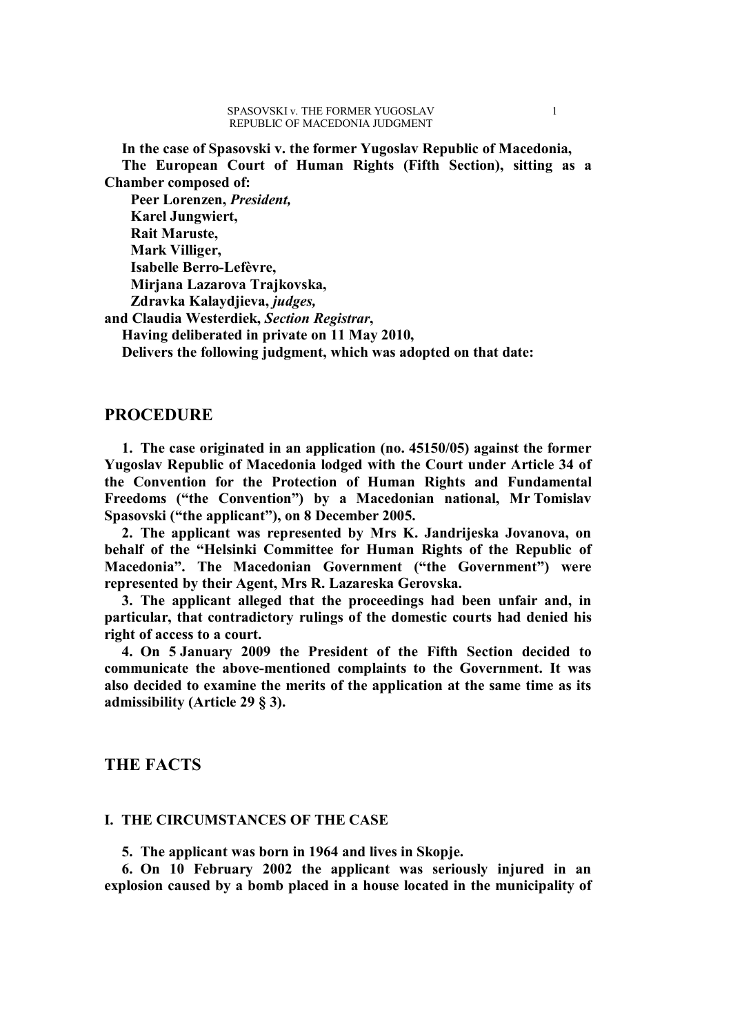**In the case of Spasovski v. the former Yugoslav Republic of Macedonia, The European Court of Human Rights (Fifth Section), sitting as a Chamber composed of:**

**Peer Lorenzen,** *President,* **Karel Jungwiert, Rait Maruste, Mark Villiger, Isabelle Berro-Lefèvre, Mirjana Lazarova Trajkovska, Zdravka Kalaydjieva,** *judges,* **and Claudia Westerdiek,** *Section Registrar***, Having deliberated in private on 11 May 2010,**

**Delivers the following judgment, which was adopted on that date:**

### **PROCEDURE**

**1. The case originated in an application (no. 45150/05) against the former Yugoslav Republic of Macedonia lodged with the Court under Article 34 of the Convention for the Protection of Human Rights and Fundamental Freedoms ("the Convention") by a Macedonian national, Mr Tomislav Spasovski ("the applicant"), on 8 December 2005.**

**2. The applicant was represented by Mrs K. Jandrijeska Jovanova, on behalf of the "Helsinki Committee for Human Rights of the Republic of Macedonia". The Macedonian Government ("the Government") were represented by their Agent, Mrs R. Lazareska Gerovska.**

**3. The applicant alleged that the proceedings had been unfair and, in particular, that contradictory rulings of the domestic courts had denied his right of access to a court.**

**4. On 5 January 2009 the President of the Fifth Section decided to communicate the above-mentioned complaints to the Government. It was also decided to examine the merits of the application at the same time as its admissibility (Article 29 § 3).**

### **THE FACTS**

### **I. THE CIRCUMSTANCES OF THE CASE**

**5. The applicant was born in 1964 and lives in Skopje.**

**6. On 10 February 2002 the applicant was seriously injured in an explosion caused by a bomb placed in a house located in the municipality of**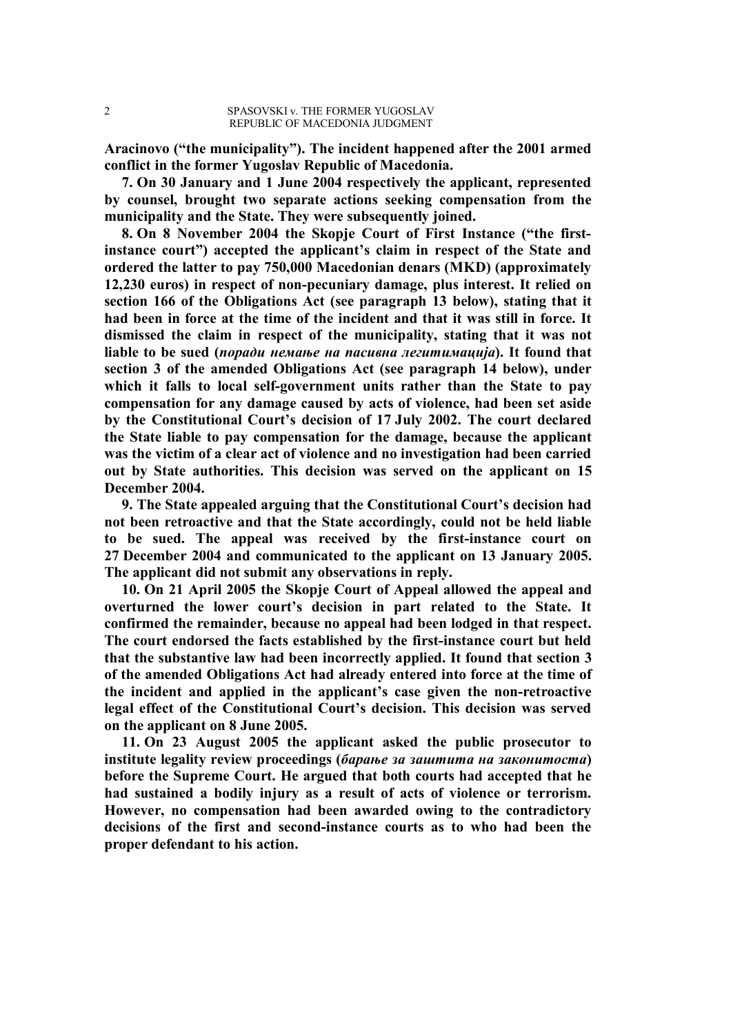**Aracinovo ("the municipality"). The incident happened after the 2001 armed conflict in the former Yugoslav Republic of Macedonia.**

**7. On 30 January and 1 June 2004 respectively the applicant, represented by counsel, brought two separate actions seeking compensation from the municipality and the State. They were subsequently joined.**

**8. On 8 November 2004 the Skopje Court of First Instance ("the firstinstance court") accepted the applicant's claim in respect of the State and ordered the latter to pay 750,000 Macedonian denars (MKD) (approximately 12,230 euros) in respect of non-pecuniary damage, plus interest. It relied on section 166 of the Obligations Act (see paragraph 13 below), stating that it had been in force at the time of the incident and that it was still in force. It dismissed the claim in respect of the municipality, stating that it was not liable to be sued (***поради немање на пасивна легитимација***). It found that section 3 of the amended Obligations Act (see paragraph 14 below), under which it falls to local self-government units rather than the State to pay compensation for any damage caused by acts of violence, had been set aside by the Constitutional Court's decision of 17 July 2002. The court declared the State liable to pay compensation for the damage, because the applicant was the victim of a clear act of violence and no investigation had been carried out by State authorities. This decision was served on the applicant on 15 December 2004.**

**9. The State appealed arguing that the Constitutional Court's decision had not been retroactive and that the State accordingly, could not be held liable to be sued. The appeal was received by the first-instance court on 27 December 2004 and communicated to the applicant on 13 January 2005. The applicant did not submit any observations in reply.**

**10. On 21 April 2005 the Skopje Court of Appeal allowed the appeal and overturned the lower court's decision in part related to the State. It confirmed the remainder, because no appeal had been lodged in that respect. The court endorsed the facts established by the first-instance court but held that the substantive law had been incorrectly applied. It found that section 3 of the amended Obligations Act had already entered into force at the time of the incident and applied in the applicant's case given the non-retroactive legal effect of the Constitutional Court's decision. This decision was served on the applicant on 8 June 2005.**

**11. On 23 August 2005 the applicant asked the public prosecutor to institute legality review proceedings (***барање за заштита на законитоста***) before the Supreme Court. He argued that both courts had accepted that he had sustained a bodily injury as a result of acts of violence or terrorism. However, no compensation had been awarded owing to the contradictory decisions of the first and second-instance courts as to who had been the proper defendant to his action.**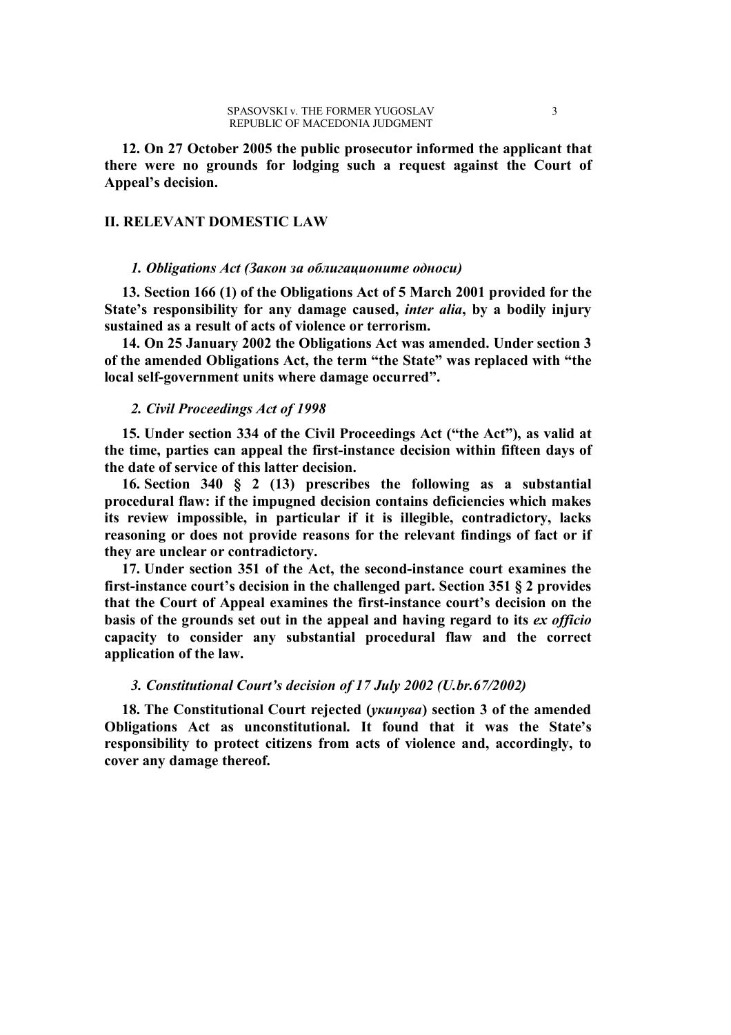**12. On 27 October 2005 the public prosecutor informed the applicant that there were no grounds for lodging such a request against the Court of Appeal's decision.**

### **II. RELEVANT DOMESTIC LAW**

#### *1. Obligations Act (Закон за облигационите односи)*

**13. Section 166 (1) of the Obligations Act of 5 March 2001 provided for the State's responsibility for any damage caused,** *inter alia***, by a bodily injury sustained as a result of acts of violence or terrorism.**

**14. On 25 January 2002 the Obligations Act was amended. Under section 3 of the amended Obligations Act, the term "the State" was replaced with "the local self-government units where damage occurred".**

### *2. Civil Proceedings Act of 1998*

**15. Under section 334 of the Civil Proceedings Act ("the Act"), as valid at the time, parties can appeal the first-instance decision within fifteen days of the date of service of this latter decision.**

**16. Section 340 § 2 (13) prescribes the following as a substantial procedural flaw: if the impugned decision contains deficiencies which makes its review impossible, in particular if it is illegible, contradictory, lacks reasoning or does not provide reasons for the relevant findings of fact or if they are unclear or contradictory.**

**17. Under section 351 of the Act, the second-instance court examines the first-instance court's decision in the challenged part. Section 351 § 2 provides that the Court of Appeal examines the first-instance court's decision on the basis of the grounds set out in the appeal and having regard to its** *ex officio*  **capacity to consider any substantial procedural flaw and the correct application of the law.**

### *3. Constitutional Court's decision of 17 July 2002 (U.br.67/2002)*

**18. The Constitutional Court rejected (***укинува***) section 3 of the amended Obligations Act as unconstitutional. It found that it was the State's responsibility to protect citizens from acts of violence and, accordingly, to cover any damage thereof.**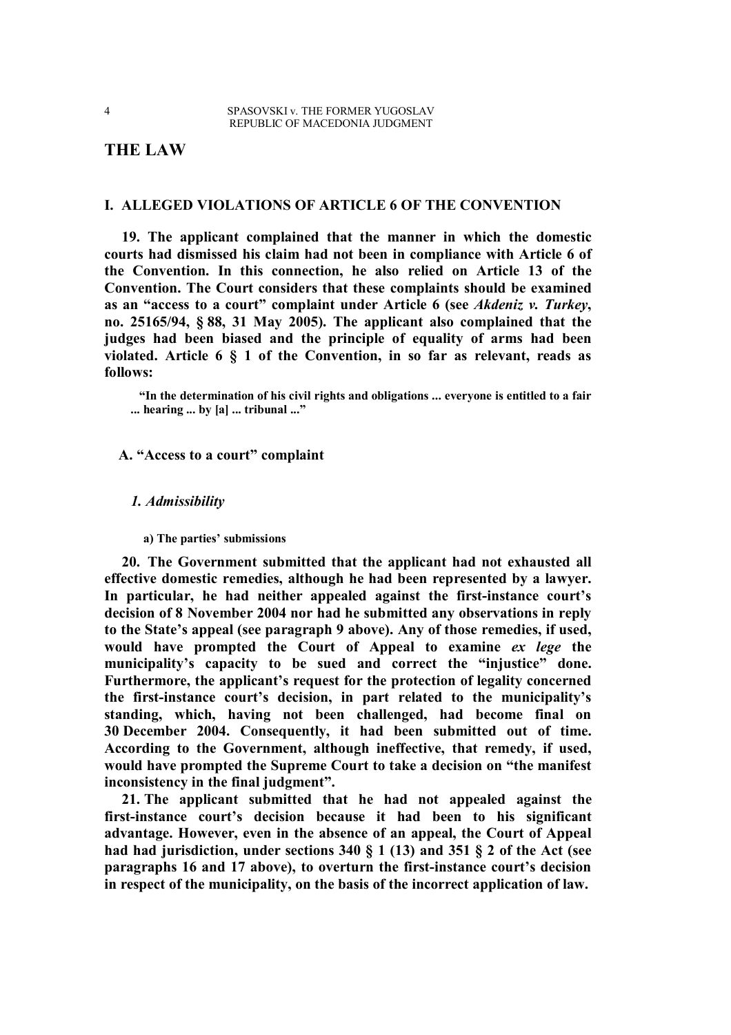# **THE LAW**

### **I. ALLEGED VIOLATIONS OF ARTICLE 6 OF THE CONVENTION**

**19. The applicant complained that the manner in which the domestic courts had dismissed his claim had not been in compliance with Article 6 of the Convention. In this connection, he also relied on Article 13 of the Convention. The Court considers that these complaints should be examined as an "access to a court" complaint under Article 6 (see** *Akdeniz v. Turkey***, no. 25165/94, § 88, 31 May 2005). The applicant also complained that the judges had been biased and the principle of equality of arms had been violated. Article 6 § 1 of the Convention, in so far as relevant, reads as follows:**

**"In the determination of his civil rights and obligations ... everyone is entitled to a fair ... hearing ... by [a] ... tribunal ..."**

**A. "Access to a court" complaint**

### *1. Admissibility*

**a) The parties' submissions**

**20. The Government submitted that the applicant had not exhausted all effective domestic remedies, although he had been represented by a lawyer. In particular, he had neither appealed against the first-instance court's decision of 8 November 2004 nor had he submitted any observations in reply to the State's appeal (see paragraph 9 above). Any of those remedies, if used, would have prompted the Court of Appeal to examine** *ex lege* **the municipality's capacity to be sued and correct the "injustice" done. Furthermore, the applicant's request for the protection of legality concerned the first-instance court's decision, in part related to the municipality's standing, which, having not been challenged, had become final on 30 December 2004. Consequently, it had been submitted out of time. According to the Government, although ineffective, that remedy, if used, would have prompted the Supreme Court to take a decision on "the manifest inconsistency in the final judgment".**

**21. The applicant submitted that he had not appealed against the first-instance court's decision because it had been to his significant advantage. However, even in the absence of an appeal, the Court of Appeal had had jurisdiction, under sections 340 § 1 (13) and 351 § 2 of the Act (see paragraphs 16 and 17 above), to overturn the first-instance court's decision in respect of the municipality, on the basis of the incorrect application of law.**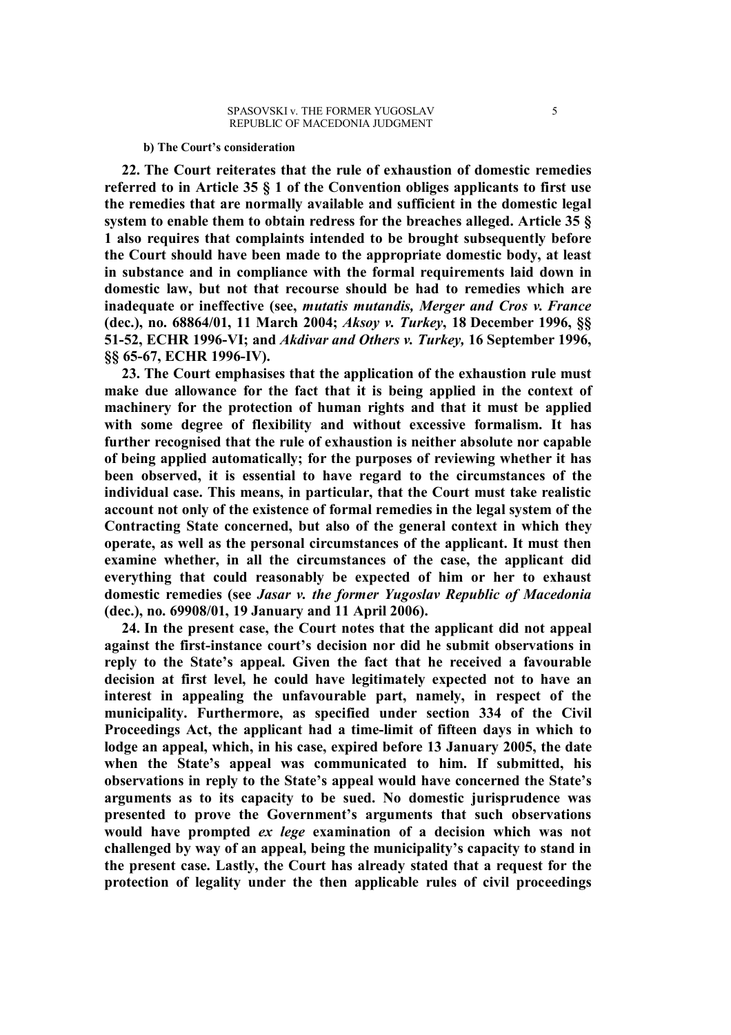#### **b) The Court's consideration**

**22. The Court reiterates that the rule of exhaustion of domestic remedies referred to in Article 35 § 1 of the Convention obliges applicants to first use the remedies that are normally available and sufficient in the domestic legal system to enable them to obtain redress for the breaches alleged. Article 35 § 1 also requires that complaints intended to be brought subsequently before the Court should have been made to the appropriate domestic body, at least in substance and in compliance with the formal requirements laid down in domestic law, but not that recourse should be had to remedies which are inadequate or ineffective (see,** *mutatis mutandis, Merger and Cros v. France* **(dec.), no. 68864/01, 11 March 2004;** *Aksoy v. Turkey***, 18 December 1996, §§ 51-52, ECHR 1996-VI; and** *Akdivar and Others v. Turkey,* **16 September 1996, §§ 65-67, ECHR 1996-IV).**

**23. The Court emphasises that the application of the exhaustion rule must make due allowance for the fact that it is being applied in the context of machinery for the protection of human rights and that it must be applied with some degree of flexibility and without excessive formalism. It has further recognised that the rule of exhaustion is neither absolute nor capable of being applied automatically; for the purposes of reviewing whether it has been observed, it is essential to have regard to the circumstances of the individual case. This means, in particular, that the Court must take realistic account not only of the existence of formal remedies in the legal system of the Contracting State concerned, but also of the general context in which they operate, as well as the personal circumstances of the applicant. It must then examine whether, in all the circumstances of the case, the applicant did everything that could reasonably be expected of him or her to exhaust domestic remedies (see** *Jasar v. the former Yugoslav Republic of Macedonia*  **(dec.), no. 69908/01, 19 January and 11 April 2006).**

**24. In the present case, the Court notes that the applicant did not appeal against the first-instance court's decision nor did he submit observations in reply to the State's appeal. Given the fact that he received a favourable decision at first level, he could have legitimately expected not to have an interest in appealing the unfavourable part, namely, in respect of the municipality. Furthermore, as specified under section 334 of the Civil Proceedings Act, the applicant had a time-limit of fifteen days in which to lodge an appeal, which, in his case, expired before 13 January 2005, the date when the State's appeal was communicated to him. If submitted, his observations in reply to the State's appeal would have concerned the State's arguments as to its capacity to be sued. No domestic jurisprudence was presented to prove the Government's arguments that such observations would have prompted** *ex lege* **examination of a decision which was not challenged by way of an appeal, being the municipality's capacity to stand in the present case. Lastly, the Court has already stated that a request for the protection of legality under the then applicable rules of civil proceedings**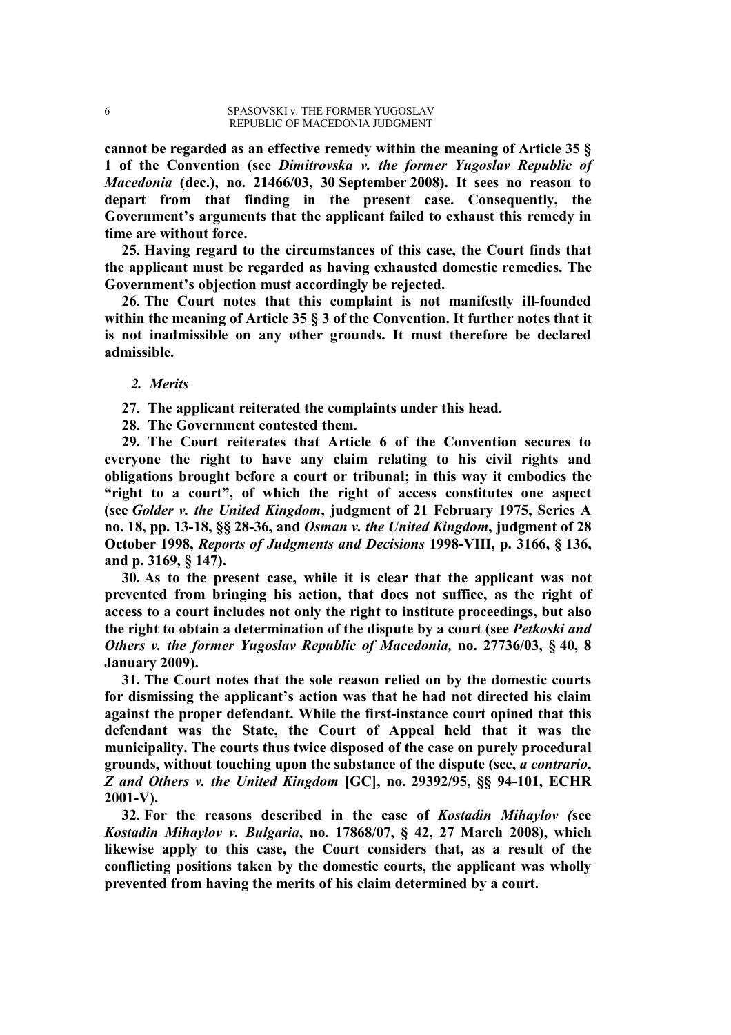**cannot be regarded as an effective remedy within the meaning of Article 35 § 1 of the Convention (see** *Dimitrovska v. the former Yugoslav Republic of Macedonia* **(dec.), no. 21466/03, 30 September 2008). It sees no reason to depart from that finding in the present case. Consequently, the Government's arguments that the applicant failed to exhaust this remedy in time are without force.**

**25. Having regard to the circumstances of this case, the Court finds that the applicant must be regarded as having exhausted domestic remedies. The Government's objection must accordingly be rejected.**

**26. The Court notes that this complaint is not manifestly ill-founded within the meaning of Article 35 § 3 of the Convention. It further notes that it is not inadmissible on any other grounds. It must therefore be declared admissible.**

#### *2. Merits*

**27. The applicant reiterated the complaints under this head.**

**28. The Government contested them.**

**29. The Court reiterates that Article 6 of the Convention secures to everyone the right to have any claim relating to his civil rights and obligations brought before a court or tribunal; in this way it embodies the "right to a court", of which the right of access constitutes one aspect (see** *Golder v. the United Kingdom***, judgment of 21 February 1975, Series A no. 18, pp. 13-18, §§ 28-36, and** *Osman v. the United Kingdom***, judgment of 28 October 1998,** *Reports of Judgments and Decisions* **1998-VIII, p. 3166, § 136, and p. 3169, § 147).**

**30. As to the present case, while it is clear that the applicant was not prevented from bringing his action, that does not suffice, as the right of access to a court includes not only the right to institute proceedings, but also the right to obtain a determination of the dispute by a court (see** *Petkoski and Others v. the former Yugoslav Republic of Macedonia,* **no. 27736/03, § 40, 8 January 2009).**

**31. The Court notes that the sole reason relied on by the domestic courts for dismissing the applicant's action was that he had not directed his claim against the proper defendant. While the first-instance court opined that this defendant was the State, the Court of Appeal held that it was the municipality. The courts thus twice disposed of the case on purely procedural grounds, without touching upon the substance of the dispute (see,** *a contrario***,**  *Z and Others v. the United Kingdom* **[GC], no. 29392/95, §§ 94-101, ECHR 2001-V).**

**32. For the reasons described in the case of** *Kostadin Mihaylov (***see** *Kostadin Mihaylov v. Bulgaria***, no. 17868/07, § 42, 27 March 2008), which likewise apply to this case, the Court considers that, as a result of the conflicting positions taken by the domestic courts, the applicant was wholly prevented from having the merits of his claim determined by a court.**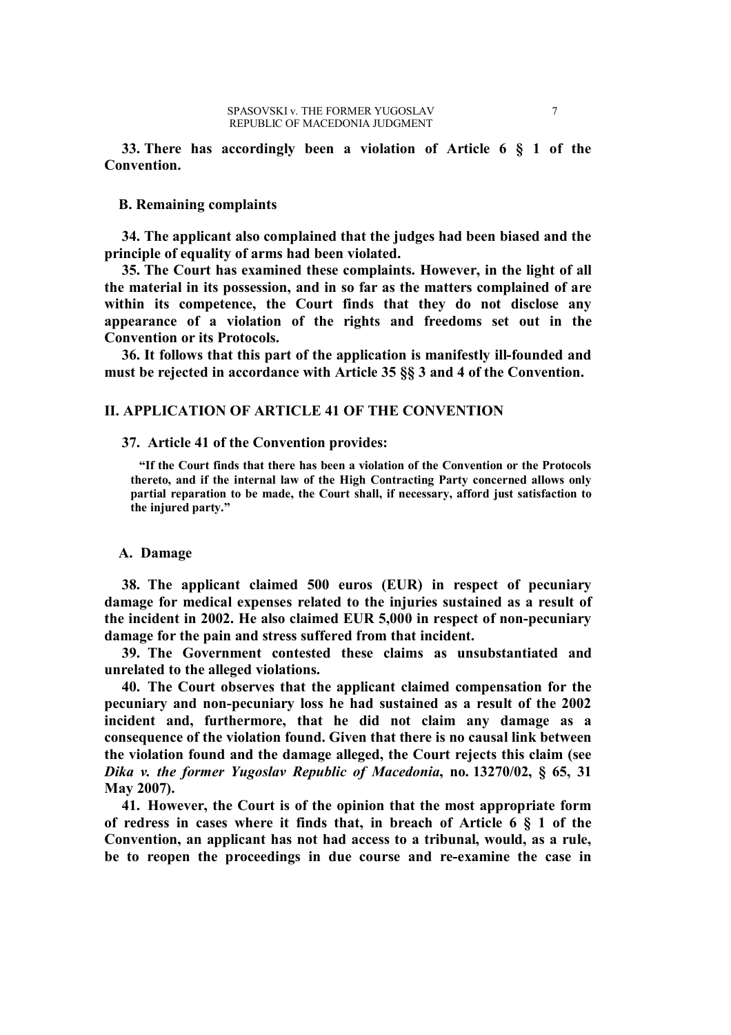**33. There has accordingly been a violation of Article 6 § 1 of the Convention.**

### **B. Remaining complaints**

**34. The applicant also complained that the judges had been biased and the principle of equality of arms had been violated.**

**35. The Court has examined these complaints. However, in the light of all the material in its possession, and in so far as the matters complained of are within its competence, the Court finds that they do not disclose any appearance of a violation of the rights and freedoms set out in the Convention or its Protocols.**

**36. It follows that this part of the application is manifestly ill-founded and must be rejected in accordance with Article 35 §§ 3 and 4 of the Convention.**

### **II. APPLICATION OF ARTICLE 41 OF THE CONVENTION**

**37. Article 41 of the Convention provides:**

**"If the Court finds that there has been a violation of the Convention or the Protocols thereto, and if the internal law of the High Contracting Party concerned allows only partial reparation to be made, the Court shall, if necessary, afford just satisfaction to the injured party."**

### **A. Damage**

**38. The applicant claimed 500 euros (EUR) in respect of pecuniary damage for medical expenses related to the injuries sustained as a result of the incident in 2002. He also claimed EUR 5,000 in respect of non-pecuniary damage for the pain and stress suffered from that incident.**

**39. The Government contested these claims as unsubstantiated and unrelated to the alleged violations.**

**40. The Court observes that the applicant claimed compensation for the pecuniary and non-pecuniary loss he had sustained as a result of the 2002 incident and, furthermore, that he did not claim any damage as a consequence of the violation found. Given that there is no causal link between the violation found and the damage alleged, the Court rejects this claim (see**  *Dika v. the former Yugoslav Republic of Macedonia***, no. 13270/02, § 65, 31 May 2007).**

**41. However, the Court is of the opinion that the most appropriate form of redress in cases where it finds that, in breach of Article 6 § 1 of the Convention, an applicant has not had access to a tribunal, would, as a rule, be to reopen the proceedings in due course and re-examine the case in**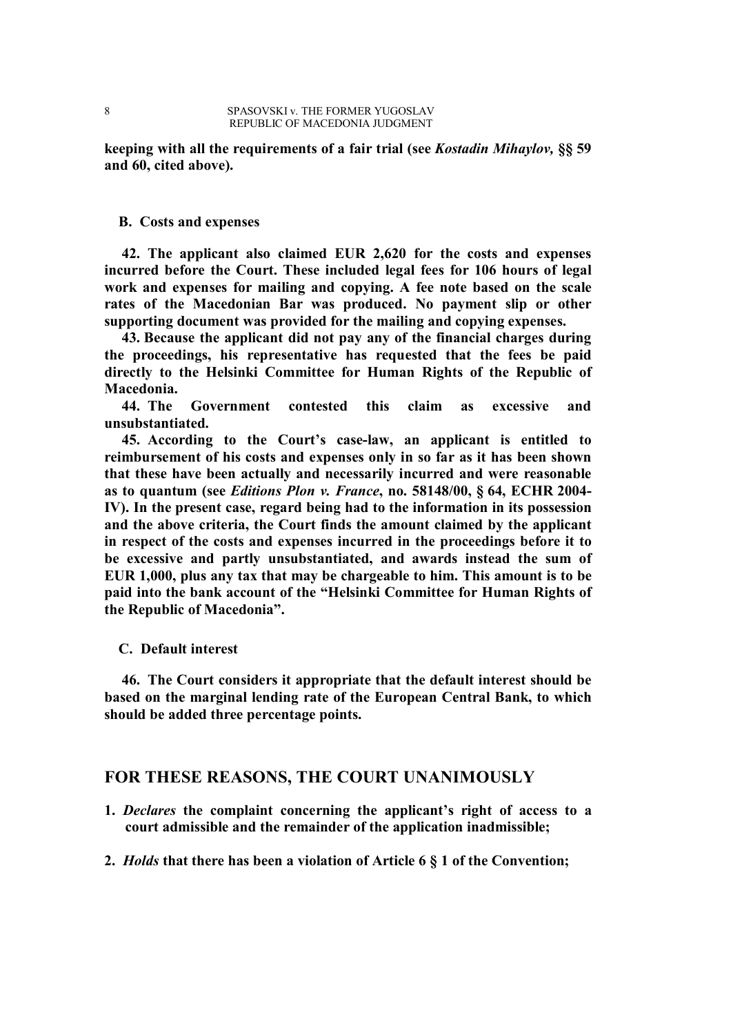**keeping with all the requirements of a fair trial (see** *Kostadin Mihaylov,* **§§ 59 and 60, cited above).**

### **B. Costs and expenses**

**42. The applicant also claimed EUR 2,620 for the costs and expenses incurred before the Court. These included legal fees for 106 hours of legal work and expenses for mailing and copying. A fee note based on the scale rates of the Macedonian Bar was produced. No payment slip or other supporting document was provided for the mailing and copying expenses.**

**43. Because the applicant did not pay any of the financial charges during the proceedings, his representative has requested that the fees be paid directly to the Helsinki Committee for Human Rights of the Republic of Macedonia.**

**44. The Government contested this claim as excessive and unsubstantiated.**

**45. According to the Court's case-law, an applicant is entitled to reimbursement of his costs and expenses only in so far as it has been shown that these have been actually and necessarily incurred and were reasonable as to quantum (see** *Editions Plon v. France***, no. 58148/00, § 64, ECHR 2004- IV). In the present case, regard being had to the information in its possession and the above criteria, the Court finds the amount claimed by the applicant in respect of the costs and expenses incurred in the proceedings before it to be excessive and partly unsubstantiated, and awards instead the sum of EUR 1,000, plus any tax that may be chargeable to him. This amount is to be paid into the bank account of the "Helsinki Committee for Human Rights of the Republic of Macedonia".**

#### **C. Default interest**

**46. The Court considers it appropriate that the default interest should be based on the marginal lending rate of the European Central Bank, to which should be added three percentage points.**

### **FOR THESE REASONS, THE COURT UNANIMOUSLY**

- **1.** *Declares* **the complaint concerning the applicant's right of access to a court admissible and the remainder of the application inadmissible;**
- **2.** *Holds* **that there has been a violation of Article 6 § 1 of the Convention;**